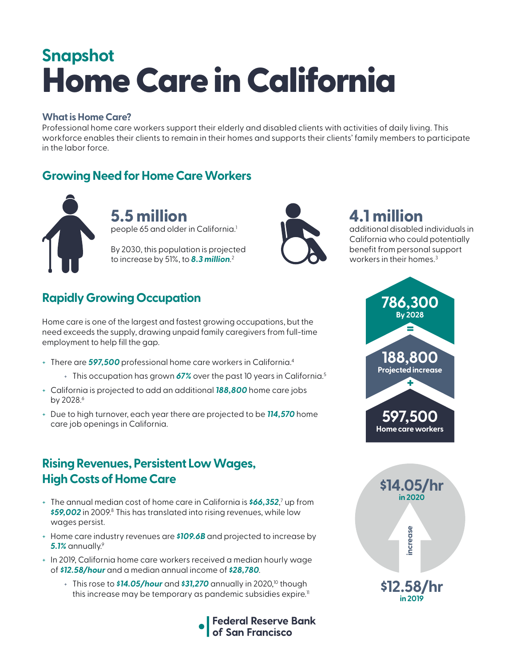# Home Care in California **Snapshot**

#### **What is Home Care?**

Professional home care workers support their elderly and disabled clients with activities of daily living. This workforce enables their clients to remain in their homes and supports their clients' family members to participate in the labor force.

### **Growing Need for Home Care Workers**



**5.5 million**  people 65 and older in California.<sup>1</sup>

By 2030, this population is projected to increase by 51%, to *8.3 million*. 2



# **4.1 million**

additional disabled individuals in California who could potentially benefit from personal support workers in their homes.<sup>3</sup>

# **Rapidly Growing Occupation**

Home care is one of the largest and fastest growing occupations, but the need exceeds the supply, drawing unpaid family caregivers from full-time employment to help fill the gap.

- + There are *597,500* professional home care workers in California.4
	- + This occupation has grown 67% over the past 10 years in California.<sup>5</sup>
- + California is projected to add an additional *188,800* home care jobs by 2028.<sup>6</sup>
- + Due to high turnover, each year there are projected to be *114,570* home care job openings in California.

#### **Rising Revenues, Persistent Low Wages, High Costs of Home Care**

- + The annual median cost of home care in California is **\$66,352**,<sup>7</sup> up from \$59,002 in 2009.<sup>8</sup> This has translated into rising revenues, while low wages persist.
- + Home care industry revenues are *\$109.6B* and projected to increase by *5.1%* annually.9
- + In 2019, California home care workers received a median hourly wage of *\$12.58/hour* and a median annual income of *\$28,780*.
	- + This rose to **\$14.05/hour** and **\$31,270** annually in 2020,<sup>10</sup> though this increase may be temporary as pandemic subsidies expire.<sup>11</sup>





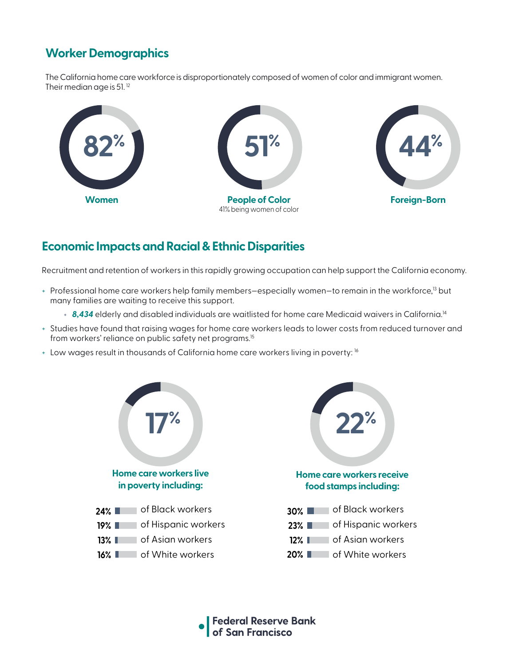# **Worker Demographics**

The California home care workforce is disproportionately composed of women of color and immigrant women. Their median age is 51.<sup>12</sup>



#### **Economic Impacts and Racial & Ethnic Disparities**

Recruitment and retention of workers in this rapidly growing occupation can help support the California economy.

- + Professional home care workers help family members—especially women—to remain in the workforce,13 but many families are waiting to receive this support.
	- + 8,434 elderly and disabled individuals are waitlisted for home care Medicaid waivers in California.<sup>14</sup>
- + Studies have found that raising wages for home care workers leads to lower costs from reduced turnover and from workers' reliance on public safety net programs.<sup>15</sup>
- + Low wages result in thousands of California home care workers living in poverty: 16